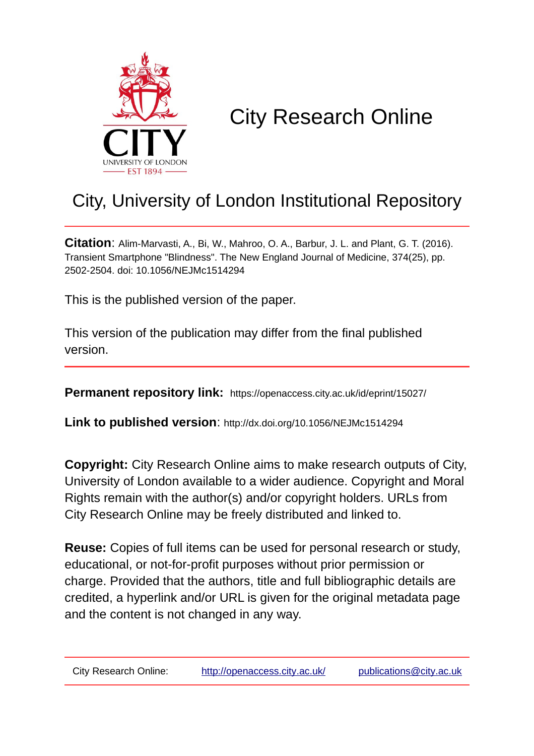

# City Research Online

## City, University of London Institutional Repository

**Citation**: Alim-Marvasti, A., Bi, W., Mahroo, O. A., Barbur, J. L. and Plant, G. T. (2016). Transient Smartphone "Blindness". The New England Journal of Medicine, 374(25), pp. 2502-2504. doi: 10.1056/NEJMc1514294

This is the published version of the paper.

This version of the publication may differ from the final published version.

**Permanent repository link:** https://openaccess.city.ac.uk/id/eprint/15027/

**Link to published version**: http://dx.doi.org/10.1056/NEJMc1514294

**Copyright:** City Research Online aims to make research outputs of City, University of London available to a wider audience. Copyright and Moral Rights remain with the author(s) and/or copyright holders. URLs from City Research Online may be freely distributed and linked to.

**Reuse:** Copies of full items can be used for personal research or study, educational, or not-for-profit purposes without prior permission or charge. Provided that the authors, title and full bibliographic details are credited, a hyperlink and/or URL is given for the original metadata page and the content is not changed in any way.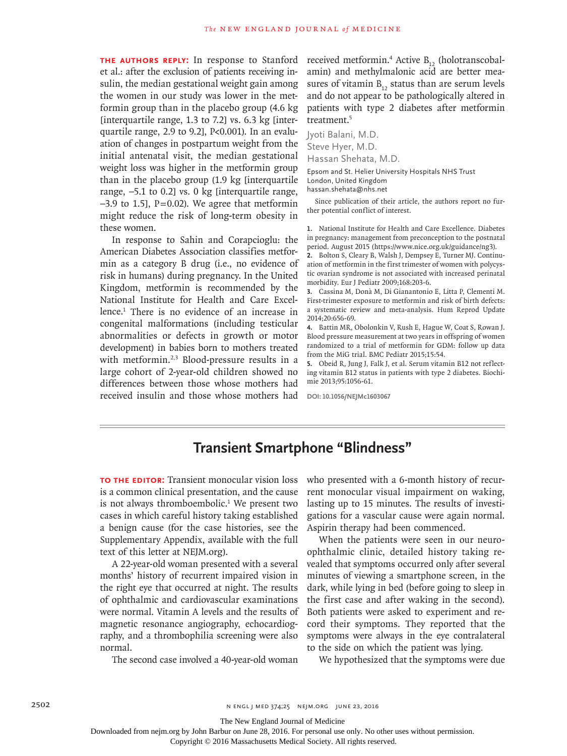**The authors reply:** In response to Stanford et al.: after the exclusion of patients receiving insulin, the median gestational weight gain among the women in our study was lower in the metformin group than in the placebo group (4.6 kg [interquartile range, 1.3 to 7.2] vs. 6.3 kg [interquartile range, 2.9 to 9.2], P<0.001). In an evaluation of changes in postpartum weight from the initial antenatal visit, the median gestational weight loss was higher in the metformin group than in the placebo group (1.9 kg [interquartile range, −5.1 to 0.2] vs. 0 kg [interquartile range, −3.9 to 1.5], P=0.02). We agree that metformin might reduce the risk of long-term obesity in these women.

In response to Sahin and Corapcioglu: the American Diabetes Association classifies metformin as a category B drug (i.e., no evidence of risk in humans) during pregnancy. In the United Kingdom, metformin is recommended by the National Institute for Health and Care Excellence.1 There is no evidence of an increase in congenital malformations (including testicular abnormalities or defects in growth or motor development) in babies born to mothers treated with metformin.<sup>2,3</sup> Blood-pressure results in a large cohort of 2-year-old children showed no differences between those whose mothers had received insulin and those whose mothers had

received metformin.<sup>4</sup> Active B<sub>12</sub> (holotranscobalamin) and methylmalonic acid are better measures of vitamin  $B_{12}$  status than are serum levels and do not appear to be pathologically altered in patients with type 2 diabetes after metformin treatment.<sup>5</sup>

Jyoti Balani, M.D. Steve Hyer, M.D. Hassan Shehata, M.D.

Epsom and St. Helier University Hospitals NHS Trust London, United Kingdom hassan.shehata@nhs.net

Since publication of their article, the authors report no further potential conflict of interest.

**1.** National Institute for Health and Care Excellence. Diabetes in pregnancy: management from preconception to the postnatal period. August 2015 (https://www.nice.org.uk/guidance/ng3).

**2.** Bolton S, Cleary B, Walsh J, Dempsey E, Turner MJ. Continuation of metformin in the first trimester of women with polycystic ovarian syndrome is not associated with increased perinatal morbidity. Eur J Pediatr 2009;168:203-6.

**3.** Cassina M, Donà M, Di Gianantonio E, Litta P, Clementi M. First-trimester exposure to metformin and risk of birth defects: a systematic review and meta-analysis. Hum Reprod Update 2014;20:656-69.

**4.** Battin MR, Obolonkin V, Rush E, Hague W, Coat S, Rowan J. Blood pressure measurement at two years in offspring of women randomized to a trial of metformin for GDM: follow up data from the MiG trial. BMC Pediatr 2015;15:54.

**5.** Obeid R, Jung J, Falk J, et al. Serum vitamin B12 not reflecting vitamin B12 status in patients with type 2 diabetes. Biochimie 2013;95:1056-61.

**DOI: 10.1056/NEJMc1603067**

### **Transient Smartphone "Blindness"**

**TO THE EDITOR:** Transient monocular vision loss is a common clinical presentation, and the cause is not always thromboembolic.<sup>1</sup> We present two cases in which careful history taking established a benign cause (for the case histories, see the Supplementary Appendix, available with the full text of this letter at NEJM.org).

A 22-year-old woman presented with a several months' history of recurrent impaired vision in the right eye that occurred at night. The results of ophthalmic and cardiovascular examinations were normal. Vitamin A levels and the results of magnetic resonance angiography, echocardiography, and a thrombophilia screening were also normal.

The second case involved a 40-year-old woman

who presented with a 6-month history of recurrent monocular visual impairment on waking, lasting up to 15 minutes. The results of investigations for a vascular cause were again normal. Aspirin therapy had been commenced.

When the patients were seen in our neuroophthalmic clinic, detailed history taking revealed that symptoms occurred only after several minutes of viewing a smartphone screen, in the dark, while lying in bed (before going to sleep in the first case and after waking in the second). Both patients were asked to experiment and record their symptoms. They reported that the symptoms were always in the eye contralateral to the side on which the patient was lying.

We hypothesized that the symptoms were due

The New England Journal of Medicine

Downloaded from nejm.org by John Barbur on June 28, 2016. For personal use only. No other uses without permission.

Copyright © 2016 Massachusetts Medical Society. All rights reserved.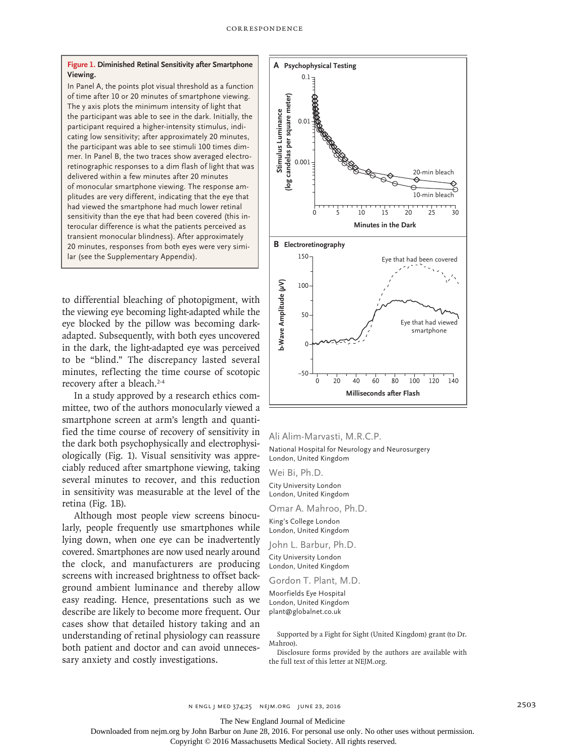#### **Figure 1. Diminished Retinal Sensitivity after Smartphone Viewing.**

In Panel A, the points plot visual threshold as a function of time after 10 or 20 minutes of smartphone viewing. The y axis plots the minimum intensity of light that the participant was able to see in the dark. Initially, the participant required a higher-intensity stimulus, indicating low sensitivity; after approximately 20 minutes, the participant was able to see stimuli 100 times dimmer. In Panel B, the two traces show averaged electroretinographic responses to a dim flash of light that was delivered within a few minutes after 20 minutes of monocular smartphone viewing. The response amplitudes are very different, indicating that the eye that had viewed the smartphone had much lower retinal sensitivity than the eye that had been covered (this interocular difference is what the patients perceived as transient monocular blindness). After approximately 20 minutes, responses from both eyes were very similar (see the Supplementary Appendix).

to differential bleaching of photopigment, with the viewing eye becoming light-adapted while the eye blocked by the pillow was becoming darkadapted. Subsequently, with both eyes uncovered in the dark, the light-adapted eye was perceived to be "blind." The discrepancy lasted several minutes, reflecting the time course of scotopic recovery after a bleach.<sup>2-4</sup>

In a study approved by a research ethics committee, two of the authors monocularly viewed a smartphone screen at arm's length and quantified the time course of recovery of sensitivity in the dark both psychophysically and electrophysiologically (Fig. 1). Visual sensitivity was appreciably reduced after smartphone viewing, taking several minutes to recover, and this reduction in sensitivity was measurable at the level of the retina (Fig. 1B).

Although most people view screens binocularly, people frequently use smartphones while lying down, when one eye can be inadvertently covered. Smartphones are now used nearly around the clock, and manufacturers are producing screens with increased brightness to offset background ambient luminance and thereby allow easy reading. Hence, presentations such as we describe are likely to become more frequent. Our cases show that detailed history taking and an understanding of retinal physiology can reassure both patient and doctor and can avoid unnecessary anxiety and costly investigations.



Ali Alim-Marvasti, M.R.C.P.

National Hospital for Neurology and Neurosurgery London, United Kingdom

Wei Bi, Ph.D.

City University London London, United Kingdom

Omar A. Mahroo, Ph.D.

King's College London London, United Kingdom

John L. Barbur, Ph.D.

City University London London, United Kingdom

Gordon T. Plant, M.D.

Moorfields Eye Hospital London, United Kingdom plant@globalnet.co.uk

Supported by a Fight for Sight (United Kingdom) grant (to Dr. Mahroo).

Disclosure forms provided by the authors are available with

n engl j med 374;25 nejm.org JUNE 23, 2016 2503

The New England Journal of Medicine

Downloaded from nejm.org by John Barbur on June 28, 2016. For personal use only. No other uses without permission.

Copyright © 2016 Massachusetts Medical Society. All rights reserved.